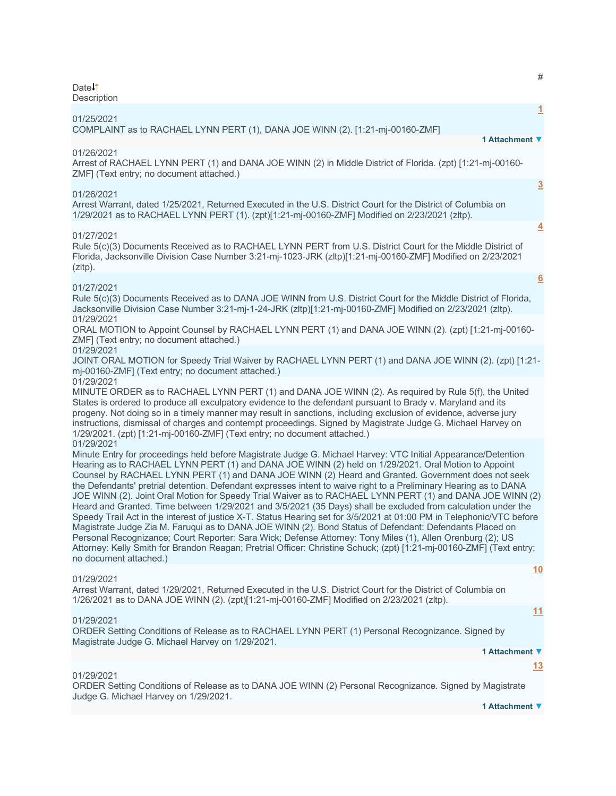Date **Description** 

|                                                                                                                                                                                                                                                                                                                                                                                                                                                                                                                                                                                                                                                                                                                                                                                                                                                                                                                                                                                                                                                                                                                                                                                                 | <u>1</u>       |
|-------------------------------------------------------------------------------------------------------------------------------------------------------------------------------------------------------------------------------------------------------------------------------------------------------------------------------------------------------------------------------------------------------------------------------------------------------------------------------------------------------------------------------------------------------------------------------------------------------------------------------------------------------------------------------------------------------------------------------------------------------------------------------------------------------------------------------------------------------------------------------------------------------------------------------------------------------------------------------------------------------------------------------------------------------------------------------------------------------------------------------------------------------------------------------------------------|----------------|
| 01/25/2021<br>COMPLAINT as to RACHAEL LYNN PERT (1), DANA JOE WINN (2). [1:21-mj-00160-ZMF]                                                                                                                                                                                                                                                                                                                                                                                                                                                                                                                                                                                                                                                                                                                                                                                                                                                                                                                                                                                                                                                                                                     |                |
| 1 Attachment ▼                                                                                                                                                                                                                                                                                                                                                                                                                                                                                                                                                                                                                                                                                                                                                                                                                                                                                                                                                                                                                                                                                                                                                                                  |                |
| 01/26/2021<br>Arrest of RACHAEL LYNN PERT (1) and DANA JOE WINN (2) in Middle District of Florida. (zpt) [1:21-mj-00160-<br>ZMF] (Text entry; no document attached.)                                                                                                                                                                                                                                                                                                                                                                                                                                                                                                                                                                                                                                                                                                                                                                                                                                                                                                                                                                                                                            |                |
| 01/26/2021                                                                                                                                                                                                                                                                                                                                                                                                                                                                                                                                                                                                                                                                                                                                                                                                                                                                                                                                                                                                                                                                                                                                                                                      | $\overline{3}$ |
| Arrest Warrant, dated 1/25/2021, Returned Executed in the U.S. District Court for the District of Columbia on<br>1/29/2021 as to RACHAEL LYNN PERT (1). (zpt)[1:21-mj-00160-ZMF] Modified on 2/23/2021 (zltp).                                                                                                                                                                                                                                                                                                                                                                                                                                                                                                                                                                                                                                                                                                                                                                                                                                                                                                                                                                                  |                |
| 01/27/2021                                                                                                                                                                                                                                                                                                                                                                                                                                                                                                                                                                                                                                                                                                                                                                                                                                                                                                                                                                                                                                                                                                                                                                                      | $\overline{4}$ |
| Rule 5(c)(3) Documents Received as to RACHAEL LYNN PERT from U.S. District Court for the Middle District of<br>Florida, Jacksonville Division Case Number 3:21-mj-1023-JRK (zltp)[1:21-mj-00160-ZMF] Modified on 2/23/2021<br>(zItp).                                                                                                                                                                                                                                                                                                                                                                                                                                                                                                                                                                                                                                                                                                                                                                                                                                                                                                                                                           |                |
|                                                                                                                                                                                                                                                                                                                                                                                                                                                                                                                                                                                                                                                                                                                                                                                                                                                                                                                                                                                                                                                                                                                                                                                                 | 6              |
| 01/27/2021<br>Rule 5(c)(3) Documents Received as to DANA JOE WINN from U.S. District Court for the Middle District of Florida,<br>Jacksonville Division Case Number 3:21-mj-1-24-JRK (zltp)[1:21-mj-00160-ZMF] Modified on 2/23/2021 (zltp).                                                                                                                                                                                                                                                                                                                                                                                                                                                                                                                                                                                                                                                                                                                                                                                                                                                                                                                                                    |                |
| 01/29/2021<br>ORAL MOTION to Appoint Counsel by RACHAEL LYNN PERT (1) and DANA JOE WINN (2). (zpt) [1:21-mj-00160-<br>ZMF] (Text entry; no document attached.)                                                                                                                                                                                                                                                                                                                                                                                                                                                                                                                                                                                                                                                                                                                                                                                                                                                                                                                                                                                                                                  |                |
| 01/29/2021<br>JOINT ORAL MOTION for Speedy Trial Waiver by RACHAEL LYNN PERT (1) and DANA JOE WINN (2). (zpt) [1:21-<br>mj-00160-ZMF] (Text entry; no document attached.)                                                                                                                                                                                                                                                                                                                                                                                                                                                                                                                                                                                                                                                                                                                                                                                                                                                                                                                                                                                                                       |                |
| 01/29/2021<br>MINUTE ORDER as to RACHAEL LYNN PERT (1) and DANA JOE WINN (2). As required by Rule 5(f), the United<br>States is ordered to produce all exculpatory evidence to the defendant pursuant to Brady v. Maryland and its<br>progeny. Not doing so in a timely manner may result in sanctions, including exclusion of evidence, adverse jury<br>instructions, dismissal of charges and contempt proceedings. Signed by Magistrate Judge G. Michael Harvey on<br>1/29/2021. (zpt) [1:21-mj-00160-ZMF] (Text entry; no document attached.)                                                                                                                                                                                                                                                                                                                                                                                                                                                                                                                                                                                                                                               |                |
| 01/29/2021<br>Minute Entry for proceedings held before Magistrate Judge G. Michael Harvey: VTC Initial Appearance/Detention<br>Hearing as to RACHAEL LYNN PERT (1) and DANA JOE WINN (2) held on 1/29/2021. Oral Motion to Appoint<br>Counsel by RACHAEL LYNN PERT (1) and DANA JOE WINN (2) Heard and Granted. Government does not seek<br>the Defendants' pretrial detention. Defendant expresses intent to waive right to a Preliminary Hearing as to DANA<br>JOE WINN (2). Joint Oral Motion for Speedy Trial Waiver as to RACHAEL LYNN PERT (1) and DANA JOE WINN (2)<br>Heard and Granted. Time between 1/29/2021 and 3/5/2021 (35 Days) shall be excluded from calculation under the<br>Speedy Trail Act in the interest of justice X-T. Status Hearing set for 3/5/2021 at 01:00 PM in Telephonic/VTC before<br>Magistrate Judge Zia M. Faruqui as to DANA JOE WINN (2). Bond Status of Defendant: Defendants Placed on<br>Personal Recognizance; Court Reporter: Sara Wick; Defense Attorney: Tony Miles (1), Allen Orenburg (2); US<br>Attorney: Kelly Smith for Brandon Reagan; Pretrial Officer: Christine Schuck; (zpt) [1:21-mj-00160-ZMF] (Text entry;<br>no document attached.) |                |
|                                                                                                                                                                                                                                                                                                                                                                                                                                                                                                                                                                                                                                                                                                                                                                                                                                                                                                                                                                                                                                                                                                                                                                                                 | 10             |
| 01/29/2021<br>Arrest Warrant, dated 1/29/2021, Returned Executed in the U.S. District Court for the District of Columbia on<br>1/26/2021 as to DANA JOE WINN (2). (zpt)[1:21-mj-00160-ZMF] Modified on 2/23/2021 (zltp).                                                                                                                                                                                                                                                                                                                                                                                                                                                                                                                                                                                                                                                                                                                                                                                                                                                                                                                                                                        |                |
|                                                                                                                                                                                                                                                                                                                                                                                                                                                                                                                                                                                                                                                                                                                                                                                                                                                                                                                                                                                                                                                                                                                                                                                                 | <u>11</u>      |
| 01/29/2021<br>ORDER Setting Conditions of Release as to RACHAEL LYNN PERT (1) Personal Recognizance. Signed by<br>Magistrate Judge G. Michael Harvey on 1/29/2021.                                                                                                                                                                                                                                                                                                                                                                                                                                                                                                                                                                                                                                                                                                                                                                                                                                                                                                                                                                                                                              |                |
| 1 Attachment ▼                                                                                                                                                                                                                                                                                                                                                                                                                                                                                                                                                                                                                                                                                                                                                                                                                                                                                                                                                                                                                                                                                                                                                                                  |                |
| 01/29/2021                                                                                                                                                                                                                                                                                                                                                                                                                                                                                                                                                                                                                                                                                                                                                                                                                                                                                                                                                                                                                                                                                                                                                                                      | <u> 13</u>     |
|                                                                                                                                                                                                                                                                                                                                                                                                                                                                                                                                                                                                                                                                                                                                                                                                                                                                                                                                                                                                                                                                                                                                                                                                 |                |

ORDER Setting Conditions of Release as to DANA JOE WINN (2) Personal Recognizance. Signed by Magistrate Judge G. Michael Harvey on 1/29/2021.

**1 Attachment ▼**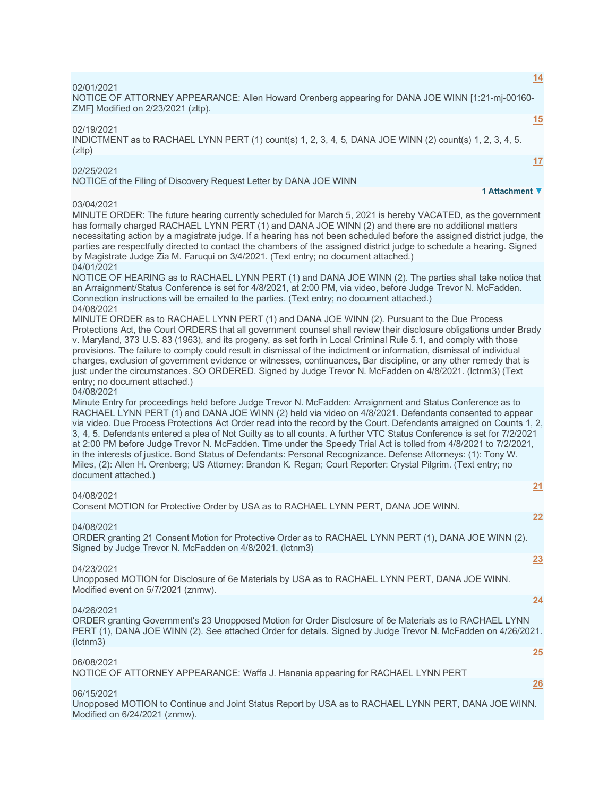| 14                                                                                                                                                                                                                                                                                                                                                                                                                                                                                                                                                                                                                                                                                                                                                                                                                                                                  |
|---------------------------------------------------------------------------------------------------------------------------------------------------------------------------------------------------------------------------------------------------------------------------------------------------------------------------------------------------------------------------------------------------------------------------------------------------------------------------------------------------------------------------------------------------------------------------------------------------------------------------------------------------------------------------------------------------------------------------------------------------------------------------------------------------------------------------------------------------------------------|
| 02/01/2021<br>NOTICE OF ATTORNEY APPEARANCE: Allen Howard Orenberg appearing for DANA JOE WINN [1:21-mj-00160-<br>ZMF] Modified on 2/23/2021 (zltp).                                                                                                                                                                                                                                                                                                                                                                                                                                                                                                                                                                                                                                                                                                                |
| 15<br>02/19/2021<br>INDICTMENT as to RACHAEL LYNN PERT (1) count(s) 1, 2, 3, 4, 5, DANA JOE WINN (2) count(s) 1, 2, 3, 4, 5.<br>$(z$ ltp)                                                                                                                                                                                                                                                                                                                                                                                                                                                                                                                                                                                                                                                                                                                           |
| 17<br>02/25/2021<br>NOTICE of the Filing of Discovery Request Letter by DANA JOE WINN                                                                                                                                                                                                                                                                                                                                                                                                                                                                                                                                                                                                                                                                                                                                                                               |
| 1 Attachment ▼                                                                                                                                                                                                                                                                                                                                                                                                                                                                                                                                                                                                                                                                                                                                                                                                                                                      |
| 03/04/2021<br>MINUTE ORDER: The future hearing currently scheduled for March 5, 2021 is hereby VACATED, as the government<br>has formally charged RACHAEL LYNN PERT (1) and DANA JOE WINN (2) and there are no additional matters<br>necessitating action by a magistrate judge. If a hearing has not been scheduled before the assigned district judge, the<br>parties are respectfully directed to contact the chambers of the assigned district judge to schedule a hearing. Signed<br>by Magistrate Judge Zia M. Faruqui on 3/4/2021. (Text entry; no document attached.)<br>04/01/2021                                                                                                                                                                                                                                                                         |
| NOTICE OF HEARING as to RACHAEL LYNN PERT (1) and DANA JOE WINN (2). The parties shall take notice that<br>an Arraignment/Status Conference is set for 4/8/2021, at 2:00 PM, via video, before Judge Trevor N. McFadden.<br>Connection instructions will be emailed to the parties. (Text entry; no document attached.)                                                                                                                                                                                                                                                                                                                                                                                                                                                                                                                                             |
| 04/08/2021<br>MINUTE ORDER as to RACHAEL LYNN PERT (1) and DANA JOE WINN (2). Pursuant to the Due Process<br>Protections Act, the Court ORDERS that all government counsel shall review their disclosure obligations under Brady<br>v. Maryland, 373 U.S. 83 (1963), and its progeny, as set forth in Local Criminal Rule 5.1, and comply with those<br>provisions. The failure to comply could result in dismissal of the indictment or information, dismissal of individual<br>charges, exclusion of government evidence or witnesses, continuances, Bar discipline, or any other remedy that is<br>just under the circumstances. SO ORDERED. Signed by Judge Trevor N. McFadden on 4/8/2021. (Ictnm3) (Text<br>entry; no document attached.)                                                                                                                     |
| 04/08/2021<br>Minute Entry for proceedings held before Judge Trevor N. McFadden: Arraignment and Status Conference as to<br>RACHAEL LYNN PERT (1) and DANA JOE WINN (2) held via video on 4/8/2021. Defendants consented to appear<br>via video. Due Process Protections Act Order read into the record by the Court. Defendants arraigned on Counts 1, 2,<br>3, 4, 5. Defendants entered a plea of Not Guilty as to all counts. A further VTC Status Conference is set for 7/2/2021<br>at 2:00 PM before Judge Trevor N. McFadden. Time under the Speedy Trial Act is tolled from 4/8/2021 to 7/2/2021,<br>in the interests of justice. Bond Status of Defendants: Personal Recognizance. Defense Attorneys: (1): Tony W.<br>Miles, (2): Allen H. Orenberg; US Attorney: Brandon K. Regan; Court Reporter: Crystal Pilgrim. (Text entry; no<br>document attached.) |
| 21<br>04/08/2021                                                                                                                                                                                                                                                                                                                                                                                                                                                                                                                                                                                                                                                                                                                                                                                                                                                    |
| Consent MOTION for Protective Order by USA as to RACHAEL LYNN PERT, DANA JOE WINN.                                                                                                                                                                                                                                                                                                                                                                                                                                                                                                                                                                                                                                                                                                                                                                                  |
| 22<br>04/08/2021                                                                                                                                                                                                                                                                                                                                                                                                                                                                                                                                                                                                                                                                                                                                                                                                                                                    |
| ORDER granting 21 Consent Motion for Protective Order as to RACHAEL LYNN PERT (1), DANA JOE WINN (2).<br>Signed by Judge Trevor N. McFadden on 4/8/2021. (Ictnm3)                                                                                                                                                                                                                                                                                                                                                                                                                                                                                                                                                                                                                                                                                                   |
| 23<br>04/23/2021<br>Unopposed MOTION for Disclosure of 6e Materials by USA as to RACHAEL LYNN PERT, DANA JOE WINN.<br>Modified event on 5/7/2021 (znmw).                                                                                                                                                                                                                                                                                                                                                                                                                                                                                                                                                                                                                                                                                                            |
| <u>24</u><br>04/26/2021<br>ORDER granting Government's 23 Unopposed Motion for Order Disclosure of 6e Materials as to RACHAEL LYNN<br>PERT (1), DANA JOE WINN (2). See attached Order for details. Signed by Judge Trevor N. McFadden on 4/26/2021.<br>(lctnm3)                                                                                                                                                                                                                                                                                                                                                                                                                                                                                                                                                                                                     |
| 25<br>06/08/2021<br>NOTICE OF ATTORNEY APPEARANCE: Waffa J. Hanania appearing for RACHAEL LYNN PERT                                                                                                                                                                                                                                                                                                                                                                                                                                                                                                                                                                                                                                                                                                                                                                 |
| <u>26</u><br>06/15/2021                                                                                                                                                                                                                                                                                                                                                                                                                                                                                                                                                                                                                                                                                                                                                                                                                                             |
| Unopposed MOTION to Continue and Joint Status Report by USA as to RACHAEL LYNN PERT, DANA JOE WINN.<br>Modified on 6/24/2021 (znmw).                                                                                                                                                                                                                                                                                                                                                                                                                                                                                                                                                                                                                                                                                                                                |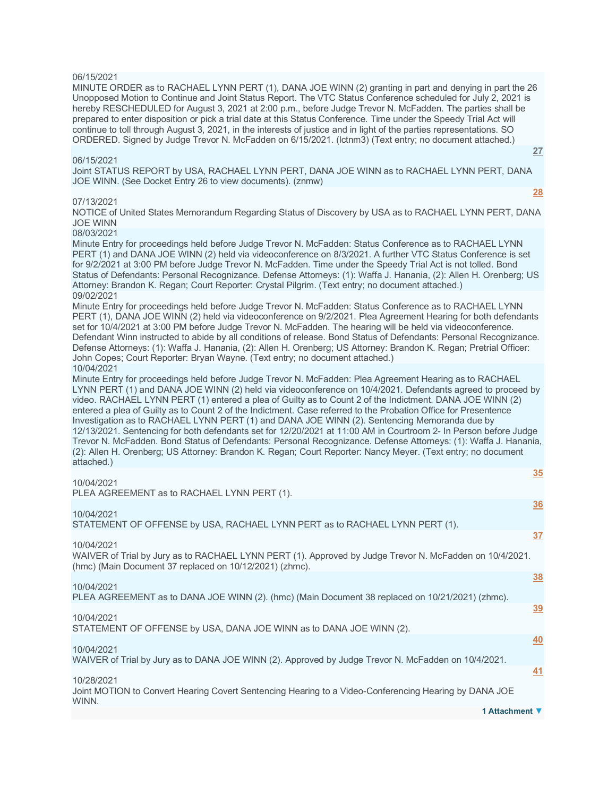# 06/15/2021

MINUTE ORDER as to RACHAEL LYNN PERT (1), DANA JOE WINN (2) granting in part and denying in part the 26 Unopposed Motion to Continue and Joint Status Report. The VTC Status Conference scheduled for July 2, 2021 is hereby RESCHEDULED for August 3, 2021 at 2:00 p.m., before Judge Trevor N. McFadden. The parties shall be prepared to enter disposition or pick a trial date at this Status Conference. Time under the Speedy Trial Act will continue to toll through August 3, 2021, in the interests of justice and in light of the parties representations. SO ORDERED. Signed by Judge Trevor N. McFadden on 6/15/2021. (lctnm3) (Text entry; no document attached.)

# 06/15/2021

Joint STATUS REPORT by USA, RACHAEL LYNN PERT, DANA JOE WINN as to RACHAEL LYNN PERT, DANA JOE WINN. (See Docket Entry 26 to view documents). (znmw)

# 07/13/2021

**[28](javascript:void(0))**

**[35](javascript:void(0))**

NOTICE of United States Memorandum Regarding Status of Discovery by USA as to RACHAEL LYNN PERT, DANA JOE WINN

# 08/03/2021

Minute Entry for proceedings held before Judge Trevor N. McFadden: Status Conference as to RACHAEL LYNN PERT (1) and DANA JOE WINN (2) held via videoconference on 8/3/2021. A further VTC Status Conference is set for 9/2/2021 at 3:00 PM before Judge Trevor N. McFadden. Time under the Speedy Trial Act is not tolled. Bond Status of Defendants: Personal Recognizance. Defense Attorneys: (1): Waffa J. Hanania, (2): Allen H. Orenberg; US Attorney: Brandon K. Regan; Court Reporter: Crystal Pilgrim. (Text entry; no document attached.) 09/02/2021

Minute Entry for proceedings held before Judge Trevor N. McFadden: Status Conference as to RACHAEL LYNN PERT (1), DANA JOE WINN (2) held via videoconference on 9/2/2021. Plea Agreement Hearing for both defendants set for 10/4/2021 at 3:00 PM before Judge Trevor N. McFadden. The hearing will be held via videoconference. Defendant Winn instructed to abide by all conditions of release. Bond Status of Defendants: Personal Recognizance. Defense Attorneys: (1): Waffa J. Hanania, (2): Allen H. Orenberg; US Attorney: Brandon K. Regan; Pretrial Officer: John Copes; Court Reporter: Bryan Wayne. (Text entry; no document attached.) 10/04/2021

Minute Entry for proceedings held before Judge Trevor N. McFadden: Plea Agreement Hearing as to RACHAEL LYNN PERT (1) and DANA JOE WINN (2) held via videoconference on 10/4/2021. Defendants agreed to proceed by video. RACHAEL LYNN PERT (1) entered a plea of Guilty as to Count 2 of the Indictment. DANA JOE WINN (2) entered a plea of Guilty as to Count 2 of the Indictment. Case referred to the Probation Office for Presentence Investigation as to RACHAEL LYNN PERT (1) and DANA JOE WINN (2). Sentencing Memoranda due by 12/13/2021. Sentencing for both defendants set for 12/20/2021 at 11:00 AM in Courtroom 2- In Person before Judge Trevor N. McFadden. Bond Status of Defendants: Personal Recognizance. Defense Attorneys: (1): Waffa J. Hanania, (2): Allen H. Orenberg; US Attorney: Brandon K. Regan; Court Reporter: Nancy Meyer. (Text entry; no document attached.)

| 10/04/2021                                                                                                                                                         | <u>ັບບ</u> |
|--------------------------------------------------------------------------------------------------------------------------------------------------------------------|------------|
| PLEA AGREEMENT as to RACHAEL LYNN PERT (1).                                                                                                                        | <u>36</u>  |
| 10/04/2021<br>STATEMENT OF OFFENSE by USA, RACHAEL LYNN PERT as to RACHAEL LYNN PERT (1).                                                                          |            |
| 10/04/2021                                                                                                                                                         | 37         |
| WAIVER of Trial by Jury as to RACHAEL LYNN PERT (1). Approved by Judge Trevor N. McFadden on 10/4/2021.<br>(hmc) (Main Document 37 replaced on 10/12/2021) (zhmc). |            |
| 10/04/2021                                                                                                                                                         | <u>38</u>  |
| PLEA AGREEMENT as to DANA JOE WINN (2). (hmc) (Main Document 38 replaced on 10/21/2021) (zhmc).                                                                    |            |
| 10/04/2021                                                                                                                                                         | <u>39</u>  |
| STATEMENT OF OFFENSE by USA, DANA JOE WINN as to DANA JOE WINN (2).                                                                                                |            |
| 10/04/2021                                                                                                                                                         | 40         |
| WAIVER of Trial by Jury as to DANA JOE WINN (2). Approved by Judge Trevor N. McFadden on 10/4/2021.                                                                |            |
| 10/28/2021                                                                                                                                                         | 41         |
| Joint MOTION to Convert Hearing Covert Sentencing Hearing to a Video-Conferencing Hearing by DANA JOE<br>WINN.                                                     |            |
| 1 Attachment ▼                                                                                                                                                     |            |

# **[27](javascript:void(0))**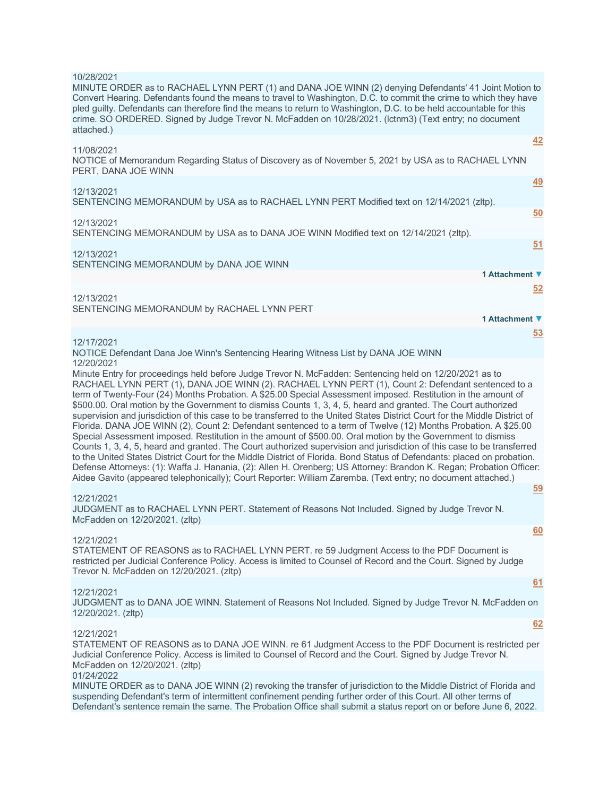## 10/28/2021

MINUTE ORDER as to RACHAEL LYNN PERT (1) and DANA JOE WINN (2) denying Defendants' 41 Joint Motion to Convert Hearing. Defendants found the means to travel to Washington, D.C. to commit the crime to which they have pled guilty. Defendants can therefore find the means to return to Washington, D.C. to be held accountable for this crime. SO ORDERED. Signed by Judge Trevor N. McFadden on 10/28/2021. (lctnm3) (Text entry; no document attached.) **[42](javascript:void(0))**

| 11/08/2021                                                                                                                 |           |
|----------------------------------------------------------------------------------------------------------------------------|-----------|
| NOTICE of Memorandum Regarding Status of Discovery as of November 5, 2021 by USA as to RACHAEL LYNN<br>PERT, DANA JOE WINN |           |
|                                                                                                                            | <u>49</u> |
| 12/13/2021<br>SENTENCING MEMORANDUM by USA as to RACHAEL LYNN PERT Modified text on 12/14/2021 (zltp).                     |           |
|                                                                                                                            | 50        |
| 12/13/2021<br>SENTENCING MEMORANDUM by USA as to DANA JOE WINN Modified text on 12/14/2021 (zltp).                         |           |
|                                                                                                                            | 51        |
| 12/13/2021<br>SENTENCING MEMORANDUM by DANA JOE WINN                                                                       |           |
| 1 Attachment ▼                                                                                                             |           |
|                                                                                                                            | 52        |
| 12/13/2021<br>SENTENCING MEMORANDUM by RACHAEL LYNN PERT                                                                   |           |
| 1 Attachment ▼                                                                                                             |           |
|                                                                                                                            | 53        |
| 12/17/2021                                                                                                                 |           |

NOTICE Defendant Dana Joe Winn's Sentencing Hearing Witness List by DANA JOE WINN 12/20/2021

Minute Entry for proceedings held before Judge Trevor N. McFadden: Sentencing held on 12/20/2021 as to RACHAEL LYNN PERT (1), DANA JOE WINN (2). RACHAEL LYNN PERT (1), Count 2: Defendant sentenced to a term of Twenty-Four (24) Months Probation. A \$25.00 Special Assessment imposed. Restitution in the amount of \$500.00. Oral motion by the Government to dismiss Counts 1, 3, 4, 5, heard and granted. The Court authorized supervision and jurisdiction of this case to be transferred to the United States District Court for the Middle District of Florida. DANA JOE WINN (2), Count 2: Defendant sentenced to a term of Twelve (12) Months Probation. A \$25.00 Special Assessment imposed. Restitution in the amount of \$500.00. Oral motion by the Government to dismiss Counts 1, 3, 4, 5, heard and granted. The Court authorized supervision and jurisdiction of this case to be transferred to the United States District Court for the Middle District of Florida. Bond Status of Defendants: placed on probation. Defense Attorneys: (1): Waffa J. Hanania, (2): Allen H. Orenberg; US Attorney: Brandon K. Regan; Probation Officer: Aidee Gavito (appeared telephonically); Court Reporter: William Zaremba. (Text entry; no document attached.)

**[59](javascript:void(0))**

**[60](javascript:void(0))**

**[61](javascript:void(0))**

**[62](javascript:void(0))**

### 12/21/2021

JUDGMENT as to RACHAEL LYNN PERT. Statement of Reasons Not Included. Signed by Judge Trevor N. McFadden on 12/20/2021. (zltp)

### 12/21/2021

STATEMENT OF REASONS as to RACHAEL LYNN PERT. re 59 Judgment Access to the PDF Document is restricted per Judicial Conference Policy. Access is limited to Counsel of Record and the Court. Signed by Judge Trevor N. McFadden on 12/20/2021. (zltp)

### 12/21/2021

JUDGMENT as to DANA JOE WINN. Statement of Reasons Not Included. Signed by Judge Trevor N. McFadden on 12/20/2021. (zltp)

### 12/21/2021

STATEMENT OF REASONS as to DANA JOE WINN. re 61 Judgment Access to the PDF Document is restricted per Judicial Conference Policy. Access is limited to Counsel of Record and the Court. Signed by Judge Trevor N. McFadden on 12/20/2021. (zltp)

# 01/24/2022

MINUTE ORDER as to DANA JOE WINN (2) revoking the transfer of jurisdiction to the Middle District of Florida and suspending Defendant's term of intermittent confinement pending further order of this Court. All other terms of Defendant's sentence remain the same. The Probation Office shall submit a status report on or before June 6, 2022.